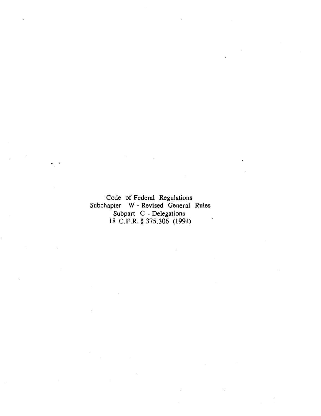Code of Federal Regulations Subchapter W - Revised General Rules Subpart C - Delegations 18 C.F.R. § 375.306 (1991)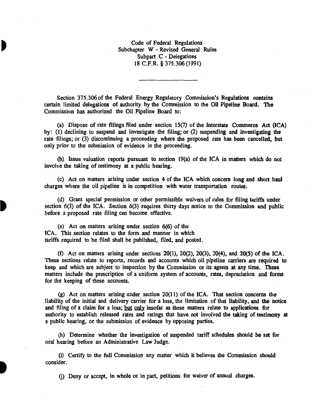Code of Federal Regulations Subchapter W - Revised General Rules Subpart C - Delegations 18 C.F.R. § 375.306 (1991)

Section 375.306 of the Federal Energy Regulatory Commission's Regulations contains certain limited delegations of authority by the Commission to the Oil Pipeline Board. The Commission has authorized the Oil Pipeline Board to:

(a) Dispose of rate filings filed under section 15(7) of the Interstate Commerce Act (ICA) by: (1) declining to suspend and investigate the filing; or (2) suspending and investigating the rate filings; or (3) discontinuing a proceeding where the proposed rate has been cancelled, but only prior to the submission of evidence in the proceeding.

(b) Issue valuation reports pursuant to section 19(a) of the ICA in matters which do not involve the taking of testimony at a public hearing.

(c) Act on matters arising under section 4 of the ICA which concern long and short haul charges where the oil pipeline is in competition with water transportation routes.

(d) Grant special permission or other permissible waivers of rules for filing tariffs under section 6(3) of the ICA. Section 6(3) requires thirty days notice to the Commission and public before a proposed rate filing can become effective.

(e) Act on matters arising under section 6(6) of the ICA. This section relates to the form and manner in which tariffs required to be filed shall be published, filed, and posted.

(f) Act on matters arising under sections 20(1), 20(2), 20(3}, 20(4}, and 20(5) of the ICA. These sections relate to reports, records and accounts which oil pipeline carriers are required to keep and which are subject to inspection by the Commission or its agents at any time. These matters include the prescription of a uniform system of accounts, rates, depreciation and forms for the keeping of these accounts.

(g) Act on matters arising under section 20(11) of the ICA. That section concerns the liability of the initial and delivery carrier for a loss, the limitation of that liability, and the notice and filing of a claim for a loss; but only insofar as these matters relate to applications for authority to establish released rates and ratings that have not involved the taking of testimony at a public hearing, or the submission of evidence by opposing parties.

(h) Determine whether· the investigation of suspended tariff schedules should be set for oral hearing before an Administrative Law Judge.

(i) Certify to the full Commission any matter which it believes the Commission should consider.

G) Deny or accept, in whole or in part, petitions for waiver of annual charges.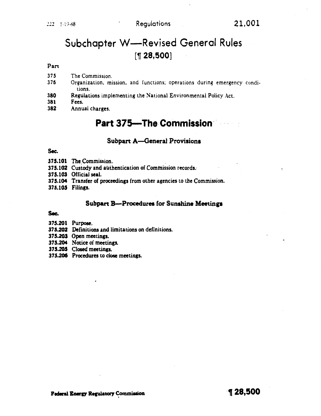# Subchapter W-Revised General Rules  $[$  1 28,500 $]$

#### Part

- 375 The Commission.
- 376 Organization. mission. and functions; operations during emergency conditions.
- 380 Regulations implementing the National Environmental Policy Act.<br>381 Fees.
- Fees.
- 382 Annual charges.

# **Part 375-The Commission**

#### Subpart A-General Provisions

#### Sec.

375.101 The Commission.

375.102 Custody and authentication of Commission records.

375.103 Official seal.

- 375.104 Transfer of proceedings from other agencies to the Commission.
- 375.105 Filings.

#### Subpart B-Procedures for Sunshine Meetings

#### Sec.

- 375.201 Purpose.
- 375.202 Definitions and limitations on definitions.
- 375.203 Open meetings.
- 375.204 Notice of meetings.

375.205 Closed meetings.

375.206 Procedures to close meetings.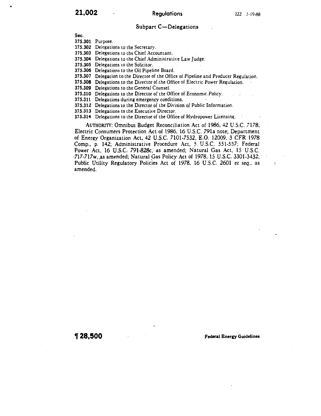#### Subpart C-Delegations

Sec.

375.301 Purpose.

375.302 Delegations to the Secretary.

375.303 Delegations to the Chief Accountant.

375.304 Delegations to the Chief Administrative Law Judge.

375.305 Delegations to the Solicitor.

375.306 Delegations to the Oil Pipeline Board.

375.307 Delegation to the Director of the Office of Pipeline and Producer Regulation.

375.308 Delegations to the Director of.the Office of Electric Power Regulation.

375.309 Delegations to the General Counsel.

375.310 Delegations to the Director of the Office of Economic.Policy.

375.311 Delegations during emergency conditions.

375.312 Delegations to the Director of the Division of Public Information.

375.313 Delegations to the Executive Director.

375.314 Delegations to the Director of the Office of Hydropower Licensing.

AUTHORITY: Omnibus Budget Reconciliation Act of 1986, 42 U.S.C. 7178; Electric Consumers Protection Act of 1986, 16 U.S.C. 791a note; Department of Energy Organization Act, 42 U.S.C. 7101-7532, E.O. 12009, 3 CFR 1978 Comp., p. 142; Administrative Procedure Act, 5. U.S.C. 551-557; Federal Power Act, 16 U.S.C. 791-828c, as amended; Natural Gas Act, 15 U.S.C.  $\cdot$ 717-717w, as amended; Natural Gas Policy Act of 1978, 15 U.S.C. 3301-3432; Public Utility Regulatory Policies Act of 1978, 16 U.S.C. 2601 *et seq.*, as amended.

, **28,500** Federal Energy Guidelines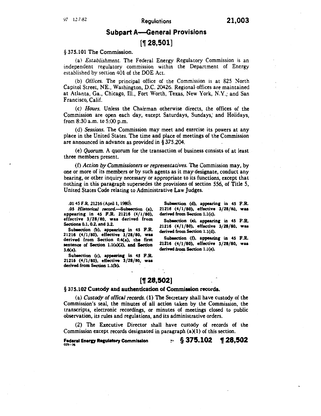# Subpart A-General Provisions

# $[$  1 28,501]

#### § 375.101 The Commission.

(a) *Establishment.* The Federal Energy Regulatory Commission is an independent regulatory commission within the Department of Energy established by section 401 of the DOE Act.

(b) *Offices.* The principal office of the Commission is at 825 North Capitol Street, NE., Washington, D.C. 20426. Regional-offices are maintained at Atlanta, Ga., Chicago, Ill., Fort Worth, Texas, New York, N.Y.; and San Francisco, Calif.

(c) *Hours.* Unless the Chairman otherwise directs, the offices of the Commission are open each day, except Saturdays, Sundays; and Holidays, from 8:30 a.m. to 5:00 p.m.

(d) *Sessions.* The Commission may meet and exercise its powers at any place in the United States. The time and place of meetings of the Commission are announced in advance as provided in§ 375.204.

(e) *Quorum.* A quorum for the transaction of business consists of at least three members present.

(f) *Action by Commissioners or representatives.* The Commission may, by one or more of its members or by such agents as it may designate, conduct any hearing, or other inquiry necessary or appropriate to its functions, except that nothing in this paragraph supersedes the provisions of section 556, of Title 5, United States Code relating to Administrative Law Judges.

.01 45 F.R. 21216 (April 1, 1980).

.05 *Historical record.*-Subsection (a), appearing in 45 F.R. 21216 (4/1/80), effective 3/28/80, was derived from Sectiona 0.1, 0.2, and 3.2.

Subsection (b), appearing in 45 F.R. 21216 (4/1/80), effective 3/28/80, wu derived from Section 0.4(a), the first sentence of Section  $1.1(a)(2)$ , and Section 3.6(a).

Subsection (c), appearing in 45 F.R. 21216  $(4/1/80)$ , effective  $3/28/80$ , was derived from Section 1.1(b).

Subsection (d), appearing in 45 F.R. 21216 (4/1/80), effective 3/28/80, wu derived from Section 1.1(c).

Subsection (e), appearing in 45 F.R. 21216 (4/1/80), effective 3/28/80, wu derived from Section l.l(d).

Subsection (f), appearing in 45 F.R. 21216 (4/1/80), effective 3/28/80, wu derived from Section 1.l(e).

# [1 28,502]

#### § 375.102 Custody and authentication of Commission records.

(a) *Custody of offical records.* (1) The Secretary shall have custody of the Commission's seal, the minutes of all action taken by the Commission, the transcripts, electronic recordings, or minutes of meetings closed to public observation, its rules and regulations, and its administrative orders.

(2) The Executive Director shall have custody of records of the Commission except records designated in paragraph  $(a)(1)$  of this section.

Federal Energy Regulatory Commission<br>025--26

 $\cdot$  § 375.102 1 28,502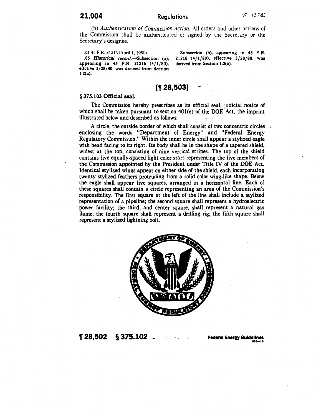(b) *Auchencicacion of Commission action.* All orders and other actions of the Commission shall be authenticated or signed by the Secretary or the Secretary's designee .

. 01 45 F.R. 21216 <April 1. 1980).

.05 Historical record.-Subsection (a), appearing in 45 F.R. 21216 (4/1/80), effctive 3/28/80, was derived from Section 1.2(a).

Subsection (b), appearing in 45 F.R. 21216 (4/1/80), effective 3/28/80, was derived from Section 1.2(b).

# [~ **28,503]**

#### § 375.103 Official seal.

The Commission hereby prescribes as its official seal, judicial notice of which shall be taken pursuant to section  $401(e)$  of the DOE Act, the imprint illustrated below and described as follows:

A circle, the outside border of which shall consist of two concentric circles enclosing the words "Department of Energy" and "Federal Energy Regulatory Commission." Within the inner circle shall appear a stylized eagle with head facing to its right. Its body shall be in the shape of a tapered shield, widest at the top, consisting of nine vertical stripes. The top of the shield contains five equally-spaced light color stars representing the five members of the Commission appointed by the President under Title IV of the DOE Act. Identical stylized wings appear on either side of the shield, each incorporating twenty stylized feathers protruding from a solid color wing-like shape. Below the eagle shall appear five squares, arranged in a horizontal line. Each of these squares shall contain a circle representing an area of the Commission's responsibility. The first square at the left of the line shall include a stylized representation of a pipeline; the second square shall represent a hydroelectric power facility; the third, and center square, shall represent a natural gas flame; the fourth square shall represent a drilling rig; the fifth square shall represent a stylized lightning bolt.



<sup>~</sup>**28,502 § 375.102** ., ... ........ .. .... **Fedenl Eneru Guidelines** 01&-16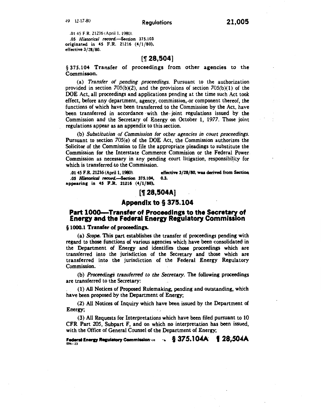.01 45 F.R. 21216 (April 1, 1980). .05 *Historical record.*-Section 375.103 originated in 45 F.R. 21216 (4/1/80), effective 3/28/80.

### $[$  17 28,504 $]$

§ 375.104 Transfer of proceedings from other agencies to the Commisson.

(a) *Transfer of pending proceedings.* Pursuant to the authorization provided in section  $705(b)(2)$ , and the provisions of section  $705(b)(1)$  of the DOE Act, all proceedings and applications pending at the time such Act took effect, before any department, agency, commission;-or component thereof, the functions of which have been transferred to the Commission by the Act, have been transferred in accordance with the joint regulations issued by the Commission and the Secretary of Energy on October 1, 1977. Those joint regulations appear as an appendix to this section.

(b) *Substitution of Commission for other agencies in court proceedings.*  Pursuant to section 705(e) of the DOE Act, the Commission authorizes the Solicitor of the Commission to file the appropriate pleadings to substitute the Commission for the Interstate Commerce Commision or the Federal Power Commission as necessary in any pending court litigation, responsibility for which is transferred to the Commission.

.01 45 F.R. 21216 (April 1, 1980). effective  $3/28/80$ , was derived from Section 05 Historical record—Section  $375.104$ . 0.3. .05 *Historical record.*-Section 375.104, appeariac ia 45 F.R. 21216 (4/1/80),

### [**1 28,504A**]

#### Appendix to§ 375.104

#### Part 1000—Transfer of Proceedings to the Secretary of Energy and the Federal Energy Regulatory Commlsslon

#### § 1000.1 Transfer of proceedings.

(a) Scope. This part establishes the transfer of proceedings pending with regard to those functions of various agencies which have been consolidated in the Department of Energy and identifies those proceedings which are transferred into the jurisdiction of the Secretary and those which are transferred into the jurisdiction of the Federal Energy Regulatory Commission.

(b) *ProceedingS transferred to the Secretary.* The following proceedings are transferred to the Secretary:

. (1) All Notices of Proposed Rulemaking, pending and outstanding, which have been proposed by the Department of Energy;

(2) All Notices of Inquiry which have been issued by the Department of Energy;

(3) All Requests for Interpretations which have been filed pursuant to 10 CFR Part 205, Subpart F, and on which no interpretation has been issued, with the Office of General Counsel of the Department of Energy;

Federal Energy Regulatory Commission  $v_1$  ·  $\S$  375.104A | 28,504A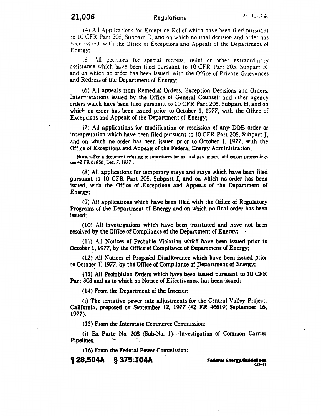# **21,006** Regulations -+9 12-17 *-dl.*

 $(4)$  All Applications for Exception Relief which have been filed pursuant to 10 CFR Part 205, Subpart D. and on which no final decision and order has been issued. with the Office of Exceptions and Appeals of the Department of Energy:

( 5) All petitions for special redress, relief or other extraordinary assistance which have been filed pursuant to 10 CFR Part 205, Subpart R, and on which no order has been issued, with the Office of Private Grievances and Redress of the Department of Energy;

(6) All appeals from Remedial Orders, Exception Decisions and Orders, Intermiteurity issued by the Office of General Counsel, and other agency orders which have been filed pursuant to 10 CFR Part 205, Subpart H, and on which no order has been issued prior to October 1, 1977, with the Office of  $Exc<sub>tr</sub>uons$  and Appeals of the Department of Energy;

(7) All applications for modification or rescission of any· DOE order or interpretation which have been filed pursuant to 10 CFR Part 205, Subpart J, and on which no order has been issued prior to October 1, 1977, with the Office of Exceptions and Appeals of the Federal Energy Administration;

Note.--For a document relating to procedures for natural gas import and export proceedings see 42 FR 61856:.Dec. 7, 1977.. .

(8) All applications for temporary ·stays and stays which have been filed pursuant to 10 CFR Part 205; Subpart I, and on which no order has been issued, with the Office of .Exceptions and Appeals of the Department of Energy;

(9) All applications which have been filed with the Office of Regulatory Programs of the Department of Energy and on which no final order has been issued;

(10) All investigations which have been instituted and have not been resolved by the Office of Compliance of the Department of Energy; :

( 11) All Notices of Probable Violation whicfi have been issued prior to October 1, 1977, by the Office-of Compliance of Department of Energy;

(12) All Notices of Proposed Disallowance which have been issued prior to October 1, 1977, by the Office of Compliance of Department of Energy;

(13) All Prohibition Orders which have been issued pursuant to 10 CFR Part 303 and as to which no Notice of Effectiveness has been issued;

(14) From the Department of the Interior:

(i) The tentative power rate adjustments for the Central Valley Project, California; proposed· on September lZ, 1977 (42 FR 46619; September 16, 1977).

(1 5) From the Interstate Commerce Commission:

(i) Ex Parte No. 308 (Sub-No. 1)-Investigation of Common Carrier Pipelines.

(16) From the Federai Power Commission:

**11 28,!504A §** 375~104A · **F..,.. Energ.GUideiiMa** 

 $022$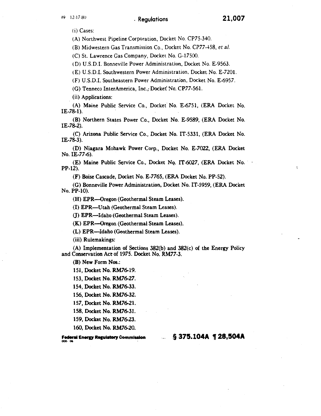.w 12-li-80 . Regulations **21,007** 

(i) Cases:

(A) Northwest Pipeline Corporation, Docket No. CP75-340.

(B) Midwestern Gas Transmission Co., Docket No. CP77-458, *eta/.* 

(C) St. Lawrence Gas Company, Docket No. G-17500.

(D) U.S.D.I. Bonneville Power Administration, Docket No. E-9563.

(E) U.S.D.I. Southwestern Power Administration, Docket No. E-7201.

(F) U.S.D.I. Southeastern Power Administration, Docket No. E-6957.

(G) Tenneco InterAmerica, Inc., Docket No. CP77-561.

(ii) Applications:

(A) Maine Public Service Co., Docket" No. E-6751, (ERA Docket No.  $IE-78-1$ ).

(B) Northern States Power Co., Docket No. E-9589, (ERA Docket No. IE-78-2).

(C) Arizona Public Service Co., Docket No. IT-5331, (ERA Docket No. IE-78-3).

(D) Niagara Mohawk Power Corp., Docket No. E-7022, (ERA Docket No. IE-77-6).

(E) Maine Public Service Co., Docket No. IT-6027, (ERA Docket No. PP-12).

(F) Boise Cascade, Docket No. E-7765, (ERA Docket No. PP-52).

(G) Bonneville Power Administration, Docket No. IT-5959, (ERA Docket No. PP-10).

(H) EPR-Oregon (Geothermal Steam Leases).

(I) EPR-Utah (Geothermal Steam Leases).

0) EPR-Idaho (Geothermal Steam Leases).

(K) EPR-Oregon (Geothermal Steam Leases).

(L) EPR-Idaho (Geothermal Steam Leases).

(iii). Rulemakings:

(A) Implementation of Sections 382(b) and 382(c) of the Energy Policy and Conservation Act of 1975. Docket No. RM77-3.

(B) New Form Nos.:

151, Docket No. RM76-19.

153, Docket No. RM76-27.

154, Docket No. RM76-33.

156, Docket No. RM76-32.

157, Docket No. RM76-21.

158, Docket No. RM76-31.

159, Docket No. RM76-23.

160, Docket No. RM76-20.

**Federal Energy Regulatory Commission** 

§ **375.104A , 28,504A**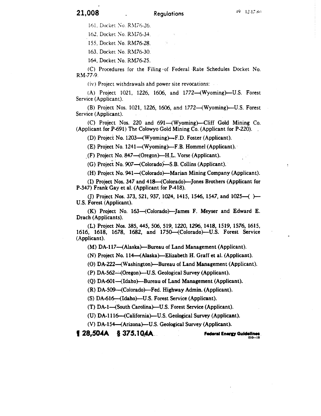161. Docket No. RM76-26.

162. Docket No. RM76-34.

155, Docket *No.* RM76-28.

163, Docket No. RM76-30.

164, Docket No. RM76-25.

(C) Procedures for the Filing of Federal Rate Schedules Docket No. RM-77-9.

(iv) Project withdrawals ahd power site revocations:

(A) Project 1021, 1226, 1606, and 1772-(Wyoming)--U.S. Forest Service (Applicant).

(B) Project Nos. 1021, 1226, 1606, and 1772-(Wyoming)--U.S. Forest Service (Applicant).

 $(C)$  Project Nos. 220 and 691—(Wyoming)—Cliff Gold Mining Co. (Applicant for P-691) The Colowyo Gold Mining Co. (Applicant for P-220).

(D) Project No. 1203—(Wyoming)—F.D. Foster (Applicant).

(E) Project No. 1241—(Wyoming)—F.B. Hommel (Applicant).

 $($ F) Project No. 847—(Oregon)—H.L. Vorse (Applicant).

(G) Project No. 907—(Colorado)—S.B. Collins (Applicant).

(H) Project No. 941-(Colorado)--Marian Mining Company (Applicant).

(I) Project Nos. 347 and 418-(Colorado)--Jones Brothers (Applicant for P-347) Frank Gay et al. (Applicant for P-418).

(J) Project Nos. 373, 521, 937, 1024, 1415, 1546, 1547, and 1025- $($ ) $-$ U.S. Forest (Applicant).

(K) Project No. 163-(Colorado)-James F. Meyser and Edward E. Drach (Applicants).

(L) Project Nos. 385, 445, 506, 519, 1220, 1296, 1418, 1519, 1576, 1615, 1616, 1618, 1678, 1682, and 1750-(Colorado)-U.S. Forest Service (Applicant).

 $(M)$  DA-117—(Alaska)—Bureau of Land Management (Applicant).

(N) Project No. 114--(Alaska)---Elizabeth H. Graff et al. (Applicant).

(O) DA-222—(Washington)—Bureau of Land Management (Applicant).

(P) DA-562-(Oregon)-U.S. Geological Survey (Applicant).

(Q) DA-601-(Idaho)---Bureau of Land Management (Applicant).

 $(R)$  DA-509—(Colorado)—Fed. Highway Admin. (Applicant).

(S) DA-616—(Idaho)—U.S. Forest Service (Applicant).

(T) DA-1-(South Carolina)--U.S. Forest Service (Applicant).

(U) DA-1116-(California)---U.S. Geological Survey (Applicant).

(V) DA-154--(Arizona)---U.S. Geological Survey (Applicant).

**I 28,504A § 375.1 O.AA .**. ,\_.,.. **Enerv Guidelines.** 01~19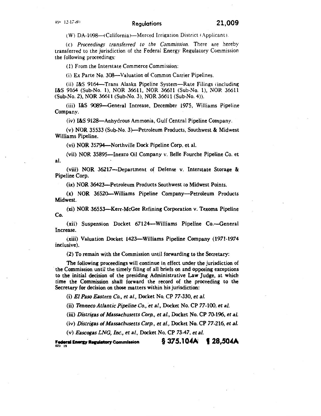(W) DA-1098---- California )--- Merced Irrigation District (Applicant).

(c) *Proceedings transferred to the Commission.* There are hereby transferred to the jurisdiction of the Federal Energy Regulatory Commission the following proceedings:

( l) From the Interstate Commerce Commission:

(i) Ex Parte No. 308-Valuation of Common Carrier Pipelines.

(ii) I&S 9164-Trans Alaska Pipeline System-Rate Filings (including I&S 9164 (Sub-No. 1), NOR 36611, NOR 36611 (Sub-No. 1), NOR 36611 (Sub-No. 2), NOR 36611 (Sub-No. 3), NOR 36611 (Sub-No. 4)).

(iii) I&S 9089-General Increase, December 1975, Williams Pipeline Company.

(iv) I&S 9128-Anhydrous Ammonia, Gulf Central Pipeline Company.

(v) NOR 35533 (Sub-No. 3)-Petroleum Products, Southwest & Midwest Williams Pipeline.

(vi) NOR 35794-Northville Dock Pipeline Corp. et al.

(vii) NOR 35895-Inexco Oil Company v. Belle Fourche Pipeline Co. et al.

(viii) NOR 36217-Department of Defense v. Interstate Storage & Pipeline Corp.

(ix) NOR 36423-Petroleum Products Southwest to Midwest Points.

(x) NOR 36520-Williams Pipeline Company-Petroleum Products Midwest.

(xi) NOR 36553-Kerr-McGee Refining Corporation v. Texoma Pipeline Co.

(xii) Suspension Docket 67124-Williams Pipeline Co.-General Increase.

(xiii) Valuation Docket 142-3-Williams Pipeline Company (1971-1974 inclusive).

(2) To remain with the Commission until forwarding to the Secretary:

The following proceedings will continue in effect under the jurisdiction of the Commission until the timely filing of all briefs on and opposing exceptions to the initial decision of the presiding Administrative Law Judge, at which time the Commission shall forward the record of the proceeding to the Secretary for decision on those matters within his jurisdiction:

(i) *El Paso Eastern Co., eta/.,* Docket No. CP 77-330, *eta/.* 

(ii) *Tenneco Atlantic Pipeline Co., et al., Docket No. CP 77-100, et al.* 

(iii) *Distrigas of Massachusetts Corp., et al.,* Docket No. CP 70.196, *et al.* 

(iv) *Distrigas of Massachusetts Corp., eta/.,* Docket No. CP 77-216, *eta/.* 

(v) *Eascogas LNG, Inc., et al.,* Docket No. CP 73-47, *et al.* 

**Federal Energy Regulatory Commission**  $\frac{023}{19}$ § **375.104Ai I 28,504A**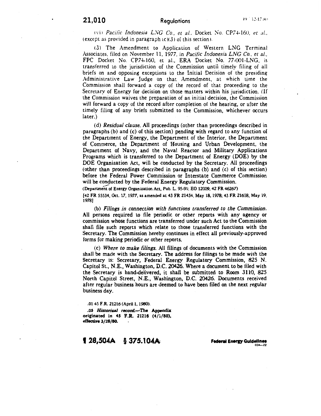# **21,010** Regulations l'l . 1.!-1 ;- l<i!

<sup>1</sup>\"i • *Paciiic Indonesia* LVG *Co., et a/ ..* Docket ~o. CPi -l-160. *et* J/ .. (except as provided in paragraph  $(c)(3)$  of this section).

!3) The Amendment to Application of Western LNG Terminal Associates. filed on November 11, 1977, in *Pacific Indonesia LNG Co .. eta/.,*  FPC Docket No. CP74-160, et al., ERA Docket No. 77-001-LNG, is transferred to the jurisdiction of the Commission until timely filing of all briefs on and opposing exceptions to the Initial Decision of the presiding Administrative Law Judge op that Amendment, at which time the Commission shall forward a copy of the record of that proceeding to the Secretary of Energy for decision on those matters within his jurisdiction. (If the Commission waives the preparation of an initial decision, the Commission will forward a copy of the record after completion of the hearing, or after the timely filing of any briefs submitted to the Commission, whichever occurs later.)

(d) *Residual clause.* All proceedings (other than proceedings described in paragraphs (b) and (c) of this section) pending with regard to any function of the Department of Energy, the Department of the Interior, the Department of Commerce, the Department of Housing and Urban Development, the Department of Navy, and the Naval Reactor and Military Applications Programs which is transferred to the Department of Energy (DOE) by the DOE Organization Act, will be conducted by the Secretary. All proceedings (other than proceedings described in paragraphs (b) and (c) of this section) before the Federal Power Commission or Interstate Commerce Commission will be conducted by the Federal Energy Regulatory Commission.<br>(Department of Energy Organization Act, Pub. L. 95-91; EO 12009, 42 FR 46267)

(42 FR 55534, Oct. 17, 1977, as amended at 43 FR 21434, May 18, 1978; 43 FR 21658, May 19, 1978)

(b) *Filings in connection with functions transferred to the Commission.*  All persons required to file periodic or other reports with any agency or commission whose functions are transferred under such Act to the Commission shall file such reports which relate to those transferred functions with the Secretary. The Commission hereby continues in effect all previously-approved forms for making periodic or other reports.

(c) *Where to make filings.* All filings of documents with the Commission shall be made with the Secretary. The address for filings to be made with the Secretary is: Secretary, Federal Energy Regulatory Commission, 825 N. Capitol St., N.E., Washington, D.C. 20426. Where a document to be filed with the Secretary is hand-delivered, it shall be submitted to Room 3110, 825 North Capitol Street, N.E., Washington, D.C. 20426. Documents received after regular business hours are deemed to have been filed on the next regular business day.

. 01 45 F.R. 21216 (April I, 1980) . .05 Historical record.-The Appendix originated in 45 F.R. 21216 (4/1/80), effective  $3/28/80$ .

# **I** *28,504A* **§ 375.104A Federal Eneru Guidelines** 034-22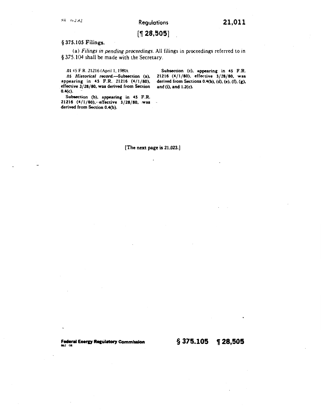# [~ **28,505]**

#### § 375.105 Filings.

(a) *Filings in pending proceedings.* All filings in proceedings referred to in § 375.104 shall be made with the Secretary.

÷.

#### . 0145 F.R. 21216(April1,1980).

.OS *Historical* record.-Subsection (a), appearing in 45 F.R. 21216 (4/1/80), effective 3/28/80. was derived from Section 0.4(c).

Subsection (b), appearing in 45 F.R. 21216 (4/1/80), effective 3/28/80, was derived from Section 0.4(b).

Subsection (c), appearing in 45 F.R. 21216 (4/1/80), effective 3/28/80, was derived from Sections 0.4(b), (d), (e), (f), (g), and (i), and 1.2(c).

[The next page is 21,023.)

**Federal Energy Regulatory Commission 8 875.105 1 28,505**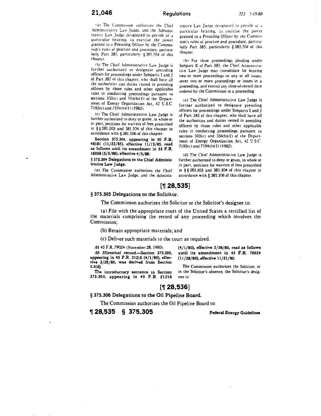#### **21,046** Regulations *222* ~-19-88

(a) The Commission authorizes the Chief Administrative Law Judge, and the Administrative Law Judge designated to preside at a particular hearing, to exercise the power granted tu a Pre;iding Officer by the Cummis sion's rules of practice and procedure, particularly Part 385, particularly § 385.504 of this chapter.

(b) The Chief Administrative Law Judge is further authorized to designate presiding uificers for proceedings under Subparts I and J of Part 383 of this chapter. who ;hall have all the authorities and duties vested in presiding officers by those rules and other applicable rules in conducting proceedings pursuant to sections  $503(c)$  and  $504(b)(1)$  of the Department of Energy Organization Act, 42 U.S.C. 7193(c) and 7194(b)(1) (1982).

(c) The Chief Administrative Law Judge is further authorized to deny or grant. in whole or in part, petitions for waivers of fees prescribed in § § 381.303 and 381304 of this chapter in accordance with § 381.106 of this chapter.

Section 375.304, appearing in 50 F.R. 48181 (11/22/85), effective 11/13/85, read as follows until its amendment in 53 F.R. 16058 (5/5/88), effective 4/5/88:

§ 375.304 Delegations to the Chief Administrative Law Judge.

(a) The Commission authorizes the Chief Administrative Law Judge, and the Adminis-

trative Law Judge designated to preside at a particular hearing, to exercise the power granted to a Presiding Officer by the Commission's rules of practice and procedure, particularly Part 385, particularly § 385.504 of this chapter.

(b) For those proceedings pending under Subpart E of Part 385, the Chief Administrative Law Judge may consolidate for hearing two or more proceedings on any or all issues. sever two or more proceedings or issues in a proceeding, and extend any close-of-record date ordered by the Commission in a proceeding.

(c) The Chief Administrative Law Judge is further authorized to designate presiding officers for proceedings under Subparts I and J of Part 385 of this chapter, who shall have all the authorities and duties vested in presiding officers by those rules and other applicable rules in conducting proceedings pursuant to sections  $503(c)$  and  $504(b)(1)$  of the Department of Energy Organization Act, 42 U.S.C. 7193(c) and 7194(b)(1) (1982).

(d) The Chief Administrative Law Judge is further authorized to deny or grant, in whole or in part, petitions for waivers of fees prescribed in § § 381.303 and 381.304 of this chapter in accordance with § 381.106 of this chapter.

# [~ **28,535]**

#### § 375.305 Delegations to the Solicitor.

The Commission authorizes the Solicitor or the Solicitor's designee to:

(a) File with the appropriate court of the United States a certified list of the materials comprising the record of any proceeding which involves the Commission;

(b) Retain appropriate materials; and

(c) Deliver such materials to the court as required.

.01 45 F.R. 79024 (November 28, 1980).

.05 Historical record.-Section 375.305, appearing in 45 F.R. 21216 (4/1/80), effec· tive 3/28/80, was derived from Section 3.5(d).

The introductory sentence to Section *315.305,* appearing in 45 F.R. 21216 (4/1/80), effective 3/28/80, read as follows until its amendment in 45 F.R. 79024 (11/28/80), effective 11/21/80:

The Commission authorizes the Solicitor, or in the Solicitor's absence, the Solicitor's designee to:

#### [~ **28,536]**

#### § 375.306 Delegations to the Oil Pipeline Board.

The Commission authorizes the Oil Pipeline Board to:

~ **28,535 § 375.305** Federal Energy Guidelines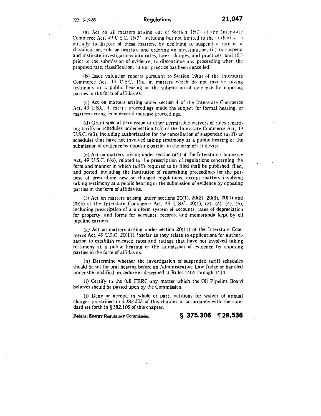(a) Act on all matters arising out of Section  $15(7)$  of the Interstate Commerce Act. 49 U.S.C. 15(7), including but not limited to the authority (i) initially to dispose of these matters. hy declining to suspend a rate or a classification, rule or practice and ordering an investigation; (ii) to suspend and institute investigations into rates, fares, charges, and practices; and  $(iii)$ prior to the submission of evidence, to discontinue any proceeding when the proposed rate, classification, rule or practice has been cancelled.

(b) Issue valuation reports pursuant to Section  $19(a)$  of the Interstate Commerce Act, 49 U.S.C. 19a, in matters which do not involve taking testimony at a public hearing or the submission of evidence by opposing parties in the form of affidavits.

(c) Act on matters arising under section 4 of the Interstate Commerce Act,  $49 \text{ U.S.C. } 4$ , except proceedings made the subject for formal hearing, or matters arising from general increase proceedings.

(d) Grant special permission or other permissible waivers of rules regarding tariffs or schedules under section 6(3) of the Interstate Commerce Act, 49 U.S.C. 6(3), including authorization for the cancellation of suspended tariffs or schedules that have not involved taking testimony at a public hearing or the submission of evidence by opposing parties in the form of affidavits.

(e) Act on matters arising under section 6(6) of the Interstate Commerce Act, 49 U.S.C. 6(6), related to the prescription of regulations concerning the form and manner·in which tariffs required to be filed shall be published, filed, and posted, including the institution of rulemaking proceedings for the purpose of prescribing new or changed regulations, except matters involving taking testimony at a public hearing or the submission of evidence by opposing parties in the form of affidavits.

(f) Act on matters arising under sections  $20(1)$ ,  $20(2)$ ,  $20(3)$ ,  $20(4)$  and 20(5) of the Interstate Commerce Act, 49 U.S.C. 20(1), (2), (3), (4), (5), including prescription of a uniform system of accounts, rates of depreciation for property, and forms for accounts, records, and memoranda kept by oil pipeline carriers.

(g) Act on matters arising under section 20(11) of the Interstate Commerce Act, 49 U.S.C. 20(11), insofar as they relate to applications for authorization to establish released rates and ratings that have not involved taking testimony at a public hearing or the submission of evidence by opposing parties in the form of affidavits.

(h) Determine whether the investigation of suspended tariff schedules should be set for oral hearing before an Administrative Law Judge or handled under the modified procedure as described at Rules 1404 through 1414.

(i) Certify to the full FERC any matter which the Oil Pipeline Board believes should be passed upon by the Commission.

(j) Deny or accept, in whole or part, petitions for waiver of annual charges prescribed in § 382.203 of this chapter in accordance with the standard set forth in § 382.105 of this chapter.

Federal Energy Regulatory Commission **§ 375.306** 128,536